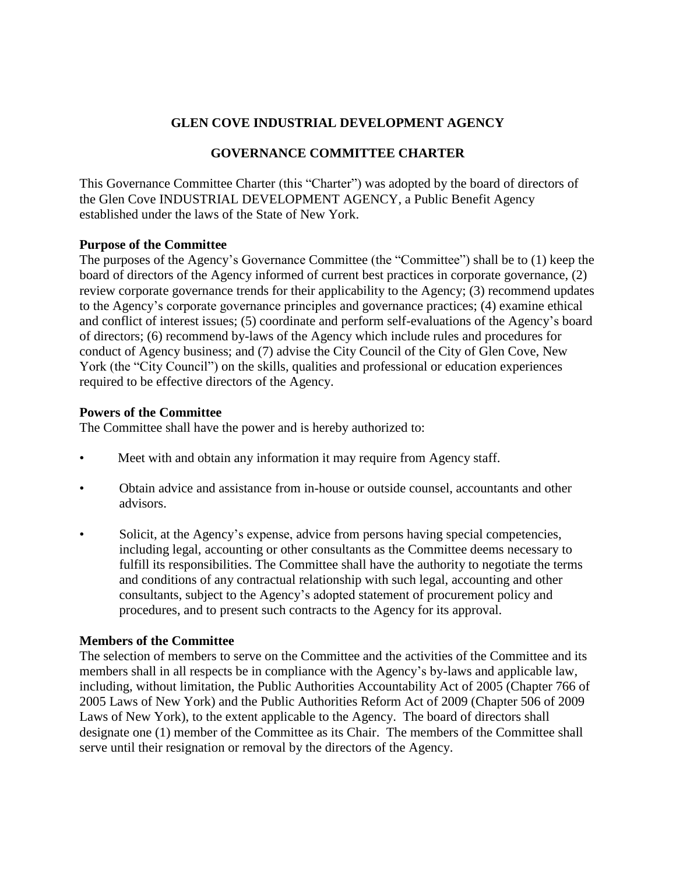# **GLEN COVE INDUSTRIAL DEVELOPMENT AGENCY**

# **GOVERNANCE COMMITTEE CHARTER**

This Governance Committee Charter (this "Charter") was adopted by the board of directors of the Glen Cove INDUSTRIAL DEVELOPMENT AGENCY, a Public Benefit Agency established under the laws of the State of New York.

## **Purpose of the Committee**

The purposes of the Agency's Governance Committee (the "Committee") shall be to (1) keep the board of directors of the Agency informed of current best practices in corporate governance, (2) review corporate governance trends for their applicability to the Agency; (3) recommend updates to the Agency's corporate governance principles and governance practices; (4) examine ethical and conflict of interest issues; (5) coordinate and perform self-evaluations of the Agency's board of directors; (6) recommend by-laws of the Agency which include rules and procedures for conduct of Agency business; and (7) advise the City Council of the City of Glen Cove, New York (the "City Council") on the skills, qualities and professional or education experiences required to be effective directors of the Agency.

## **Powers of the Committee**

The Committee shall have the power and is hereby authorized to:

- Meet with and obtain any information it may require from Agency staff.
- Obtain advice and assistance from in-house or outside counsel, accountants and other advisors.
- Solicit, at the Agency's expense, advice from persons having special competencies, including legal, accounting or other consultants as the Committee deems necessary to fulfill its responsibilities. The Committee shall have the authority to negotiate the terms and conditions of any contractual relationship with such legal, accounting and other consultants, subject to the Agency's adopted statement of procurement policy and procedures, and to present such contracts to the Agency for its approval.

## **Members of the Committee**

The selection of members to serve on the Committee and the activities of the Committee and its members shall in all respects be in compliance with the Agency's by-laws and applicable law, including, without limitation, the Public Authorities Accountability Act of 2005 (Chapter 766 of 2005 Laws of New York) and the Public Authorities Reform Act of 2009 (Chapter 506 of 2009 Laws of New York), to the extent applicable to the Agency. The board of directors shall designate one (1) member of the Committee as its Chair. The members of the Committee shall serve until their resignation or removal by the directors of the Agency.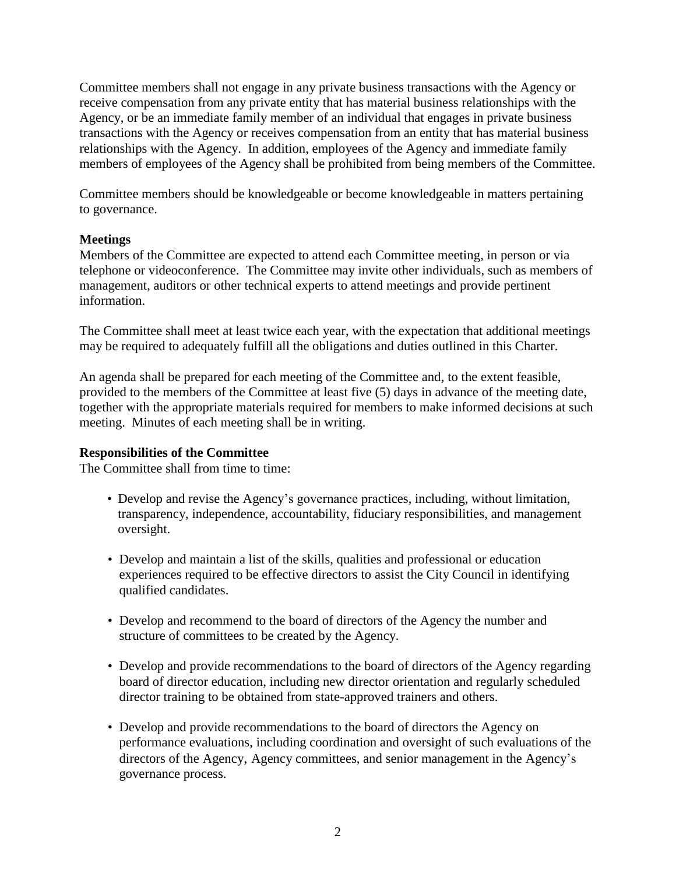Committee members shall not engage in any private business transactions with the Agency or receive compensation from any private entity that has material business relationships with the Agency, or be an immediate family member of an individual that engages in private business transactions with the Agency or receives compensation from an entity that has material business relationships with the Agency. In addition, employees of the Agency and immediate family members of employees of the Agency shall be prohibited from being members of the Committee.

Committee members should be knowledgeable or become knowledgeable in matters pertaining to governance.

## **Meetings**

Members of the Committee are expected to attend each Committee meeting, in person or via telephone or videoconference. The Committee may invite other individuals, such as members of management, auditors or other technical experts to attend meetings and provide pertinent information.

The Committee shall meet at least twice each year, with the expectation that additional meetings may be required to adequately fulfill all the obligations and duties outlined in this Charter.

An agenda shall be prepared for each meeting of the Committee and, to the extent feasible, provided to the members of the Committee at least five (5) days in advance of the meeting date, together with the appropriate materials required for members to make informed decisions at such meeting. Minutes of each meeting shall be in writing.

## **Responsibilities of the Committee**

The Committee shall from time to time:

- Develop and revise the Agency's governance practices, including, without limitation, transparency, independence, accountability, fiduciary responsibilities, and management oversight.
- Develop and maintain a list of the skills, qualities and professional or education experiences required to be effective directors to assist the City Council in identifying qualified candidates.
- Develop and recommend to the board of directors of the Agency the number and structure of committees to be created by the Agency.
- Develop and provide recommendations to the board of directors of the Agency regarding board of director education, including new director orientation and regularly scheduled director training to be obtained from state-approved trainers and others.
- Develop and provide recommendations to the board of directors the Agency on performance evaluations, including coordination and oversight of such evaluations of the directors of the Agency, Agency committees, and senior management in the Agency's governance process.